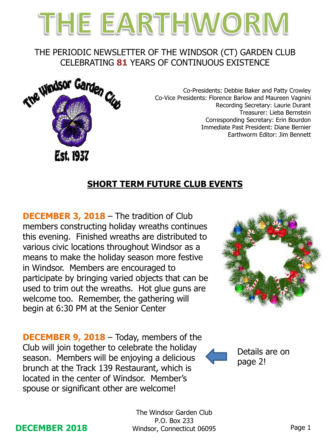# THE EARTHWORM

### THE PERIODIC NEWSLETTER OF THE WINDSOR (CT) GARDEN CLUB CELEBRATING **81** YEARS OF CONTINUOUS EXISTENCE



Co-Presidents: Debbie Baker and Patty Crowley Co-Vice Presidents: Florence Barlow and Maureen Vagnini Recording Secretary: Laurie Durant Treasurer: Lieba Bernstein Corresponding Secretary: Erin Bourdon Immediate Past President: Diane Bernier Earthworm Editor: Jim Bennett

# **SHORT TERM FUTURE CLUB EVENTS**

**DECEMBER 3, 2018** – The tradition of Club members constructing holiday wreaths continues this evening. Finished wreaths are distributed to various civic locations throughout Windsor as a means to make the holiday season more festive in Windsor. Members are encouraged to participate by bringing varied objects that can be used to trim out the wreaths. Hot glue guns are welcome too. Remember, the gathering will begin at 6:30 PM at the Senior Center

**DECEMBER 9, 2018** – Today, members of the Club will join together to celebrate the holiday season. Members will be enjoying a delicious brunch at the Track 139 Restaurant, which is located in the center of Windsor. Member's spouse or significant other are welcome!





Details are on page 2!

#### **DECEMBER 2018**

The Windsor Garden Club P.O. Box 233 Windsor, Connecticut 06095 Page 1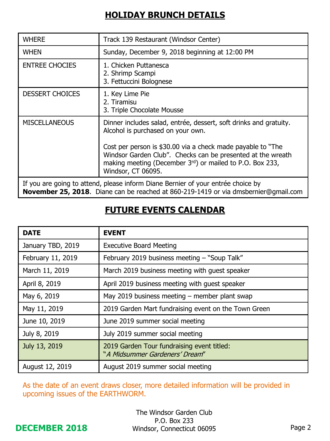# **HOLIDAY BRUNCH DETAILS**

| <b>WHERE</b>                                                                                                                                                            | Track 139 Restaurant (Windsor Center)                                                                                                                                                                                                                                                                                  |  |
|-------------------------------------------------------------------------------------------------------------------------------------------------------------------------|------------------------------------------------------------------------------------------------------------------------------------------------------------------------------------------------------------------------------------------------------------------------------------------------------------------------|--|
| <b>WHEN</b>                                                                                                                                                             | Sunday, December 9, 2018 beginning at 12:00 PM                                                                                                                                                                                                                                                                         |  |
| <b>ENTREE CHOCIES</b>                                                                                                                                                   | 1. Chicken Puttanesca<br>2. Shrimp Scampi<br>3. Fettuccini Bolognese                                                                                                                                                                                                                                                   |  |
| <b>DESSERT CHOICES</b>                                                                                                                                                  | 1. Key Lime Pie<br>2. Tiramisu<br>3. Triple Chocolate Mousse                                                                                                                                                                                                                                                           |  |
| <b>MISCELLANEOUS</b>                                                                                                                                                    | Dinner includes salad, entrée, dessert, soft drinks and gratuity.<br>Alcohol is purchased on your own.<br>Cost per person is \$30.00 via a check made payable to "The<br>Windsor Garden Club". Checks can be presented at the wreath<br>making meeting (December 3rd) or mailed to P.O. Box 233,<br>Windsor, CT 06095. |  |
| If you are going to attend, please inform Diane Bernier of your entrée choice by<br>November 25, 2018. Diane can be reached at 860-219-1419 or via dmsbernier@gmail.com |                                                                                                                                                                                                                                                                                                                        |  |

# **FUTURE EVENTS CALENDAR**

| <b>DATE</b>       | <b>EVENT</b>                                                                 |
|-------------------|------------------------------------------------------------------------------|
| January TBD, 2019 | <b>Executive Board Meeting</b>                                               |
| February 11, 2019 | February 2019 business meeting - "Soup Talk"                                 |
| March 11, 2019    | March 2019 business meeting with guest speaker                               |
| April 8, 2019     | April 2019 business meeting with guest speaker                               |
| May 6, 2019       | May 2019 business meeting $-$ member plant swap                              |
| May 11, 2019      | 2019 Garden Mart fundraising event on the Town Green                         |
| June 10, 2019     | June 2019 summer social meeting                                              |
| July 8, 2019      | July 2019 summer social meeting                                              |
| July 13, 2019     | 2019 Garden Tour fundraising event titled:<br>"A Midsummer Gardeners' Dream" |
| August 12, 2019   | August 2019 summer social meeting                                            |

As the date of an event draws closer, more detailed information will be provided in upcoming issues of the EARTHWORM.